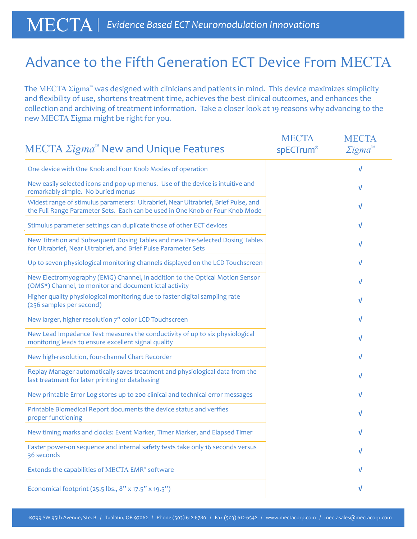## Advance to the Fifth Generation ECT Device From MECTA

The MECTA Σigma<sup>™</sup> was designed with clinicians and patients in mind. This device maximizes simplicity and flexibility of use, shortens treatment time, achieves the best clinical outcomes, and enhances the collection and archiving of treatment information. Take a closer look at 19 reasons why advancing to the new MECTA Σigma might be right for you.

|                                                                                                                                                                     | <b>MECTA</b><br>spECTrum® | <b>MECTA</b><br>$\Sigma$ igma <sup>"</sup> |
|---------------------------------------------------------------------------------------------------------------------------------------------------------------------|---------------------------|--------------------------------------------|
| One device with One Knob and Four Knob Modes of operation                                                                                                           |                           | V                                          |
| New easily selected icons and pop-up menus. Use of the device is intuitive and<br>remarkably simple. No buried menus                                                |                           | V                                          |
| Widest range of stimulus parameters: Ultrabrief, Near Ultrabrief, Brief Pulse, and<br>the Full Range Parameter Sets. Each can be used in One Knob or Four Knob Mode |                           | V                                          |
| Stimulus parameter settings can duplicate those of other ECT devices                                                                                                |                           | v                                          |
| New Titration and Subsequent Dosing Tables and new Pre-Selected Dosing Tables<br>for Ultrabrief, Near Ultrabrief, and Brief Pulse Parameter Sets                    |                           | V                                          |
| Up to seven physiological monitoring channels displayed on the LCD Touchscreen                                                                                      |                           | V                                          |
| New Electromyography (EMG) Channel, in addition to the Optical Motion Sensor<br>(OMS*) Channel, to monitor and document ictal activity                              |                           | V                                          |
| Higher quality physiological monitoring due to faster digital sampling rate<br>(256 samples per second)                                                             |                           | v                                          |
| New larger, higher resolution 7" color LCD Touchscreen                                                                                                              |                           | V                                          |
| New Lead Impedance Test measures the conductivity of up to six physiological<br>monitoring leads to ensure excellent signal quality                                 |                           | v                                          |
| New high-resolution, four-channel Chart Recorder                                                                                                                    |                           | v                                          |
| Replay Manager automatically saves treatment and physiological data from the<br>last treatment for later printing or databasing                                     |                           | V                                          |
| New printable Error Log stores up to 200 clinical and technical error messages                                                                                      |                           | V                                          |
| Printable Biomedical Report documents the device status and verifies<br>proper functioning                                                                          |                           | v                                          |
| New timing marks and clocks: Event Marker, Timer Marker, and Elapsed Timer                                                                                          |                           | v                                          |
| Faster power-on sequence and internal safety tests take only 16 seconds versus<br>36 seconds                                                                        |                           | v                                          |
| Extends the capabilities of MECTA EMR® software                                                                                                                     |                           | v                                          |
| Economical footprint (25.5 lbs., 8" x 17.5" x 19.5")                                                                                                                |                           | V                                          |